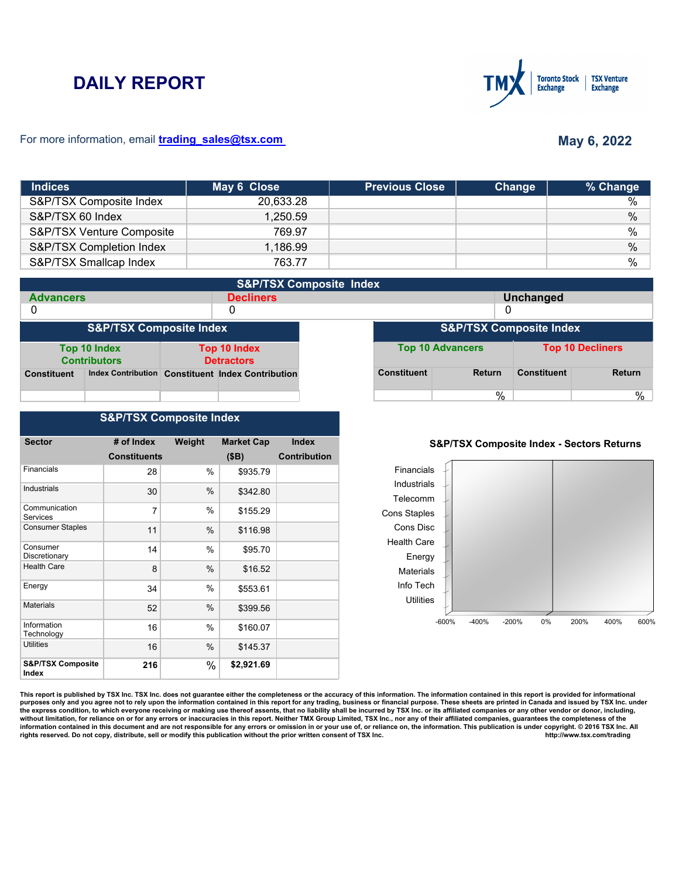# **DAILY REPORT**



### For more information, email **trading\_sales@tsx.com**

# **May 6, 2022**

| <b>Indices</b>            | May 6 Close | <b>Previous Close</b> | Change | % Change |
|---------------------------|-------------|-----------------------|--------|----------|
| S&P/TSX Composite Index   | 20,633.28   |                       |        | %        |
| S&P/TSX 60 Index          | 1.250.59    |                       |        | $\%$     |
| S&P/TSX Venture Composite | 769.97      |                       |        | %        |
| S&P/TSX Completion Index  | 1,186.99    |                       |        | $\%$     |
| S&P/TSX Smallcap Index    | 763.77      |                       |        | $\%$     |

|                                    | <b>S&amp;P/TSX Composite Index</b>  |                                          |                                                   |  |                    |                         |                    |                         |
|------------------------------------|-------------------------------------|------------------------------------------|---------------------------------------------------|--|--------------------|-------------------------|--------------------|-------------------------|
| <b>Advancers</b>                   |                                     |                                          | <b>Decliners</b>                                  |  | <b>Unchanged</b>   |                         |                    |                         |
| 0                                  |                                     |                                          | 0                                                 |  |                    |                         |                    |                         |
| <b>S&amp;P/TSX Composite Index</b> |                                     |                                          | <b>S&amp;P/TSX Composite Index</b>                |  |                    |                         |                    |                         |
|                                    | Top 10 Index<br><b>Contributors</b> | <b>Top 10 Index</b><br><b>Detractors</b> |                                                   |  |                    | <b>Top 10 Advancers</b> |                    | <b>Top 10 Decliners</b> |
| <b>Constituent</b>                 |                                     |                                          | Index Contribution Constituent Index Contribution |  | <b>Constituent</b> | <b>Return</b>           | <b>Constituent</b> | <b>Return</b>           |
|                                    |                                     |                                          |                                                   |  |                    | %                       |                    | %                       |

## **S&P/TSX Composite Index**

| <b>Sector</b>                         | # of Index          | Weight | <b>Market Cap</b> | <b>Index</b>        |
|---------------------------------------|---------------------|--------|-------------------|---------------------|
|                                       | <b>Constituents</b> |        | (SB)              | <b>Contribution</b> |
| Financials                            | 28                  | %      | \$935.79          |                     |
| <b>Industrials</b>                    | 30                  | $\%$   | \$342.80          |                     |
| Communication<br>Services             | 7                   | $\%$   | \$155.29          |                     |
| <b>Consumer Staples</b>               | 11                  | %      | \$116.98          |                     |
| Consumer<br>Discretionary             | 14                  | $\%$   | \$95.70           |                     |
| <b>Health Care</b>                    | 8                   | %      | \$16.52           |                     |
| Energy                                | 34                  | %      | \$553.61          |                     |
| <b>Materials</b>                      | 52                  | $\%$   | \$399.56          |                     |
| Information<br>Technology             | 16                  | %      | \$160.07          |                     |
| <b>Utilities</b>                      | 16                  | $\%$   | \$145.37          |                     |
| <b>S&amp;P/TSX Composite</b><br>Index | 216                 | %      | \$2,921.69        |                     |

#### **S&P/TSX Composite Index - Sectors Returns**



This report is published by TSX Inc. TSX Inc. does not guarantee either the completeness or the accuracy of this information. The information contained in this report is provided for informational **purposes only and you agree not to rely upon the information contained in this report for any trading, business or financial purpose. These sheets are printed in Canada and issued by TSX Inc. under**  the express condition, to which everyone receiving or making use thereof assents, that no liability shall be incurred by TSX Inc. or its affiliated companies or any other vendor or donor, including,<br>without limitation, for information contained in this document and are not responsible for any errors or omission in or your use of, or reliance on, the information. This publication is under copyright. © 2016 TSX Inc. All <br>
rights reserved. Do n rights reserved. Do not copy, distribute, sell or modify this publication without the prior written consent of TSX Inc.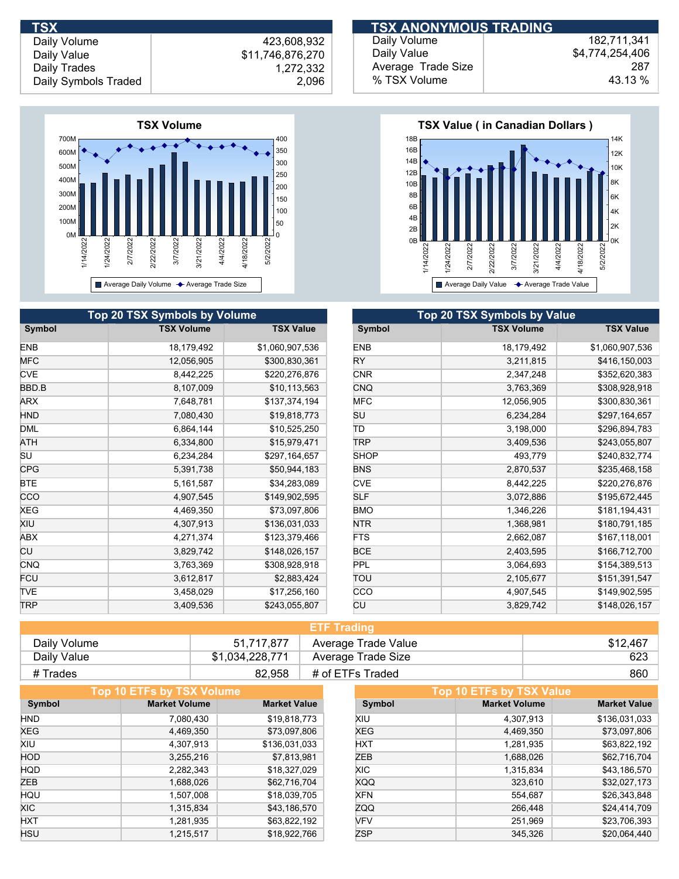

|            | <b>Top 20 TSX Symbols by Volume</b> |                  | Top 20 TSX Symbols by Value |                   |
|------------|-------------------------------------|------------------|-----------------------------|-------------------|
| Symbol     | <b>TSX Volume</b>                   | <b>TSX Value</b> | Symbol                      | <b>TSX Volume</b> |
| <b>ENB</b> | 18,179,492                          | \$1,060,907,536  | <b>ENB</b>                  | 18,179,492        |
| <b>MFC</b> | 12,056,905                          | \$300,830,361    | RY.                         | 3,211,815         |
| <b>CVE</b> | 8,442,225                           | \$220,276,876    | <b>CNR</b>                  | 2,347,248         |
| BBD.B      | 8,107,009                           | \$10,113,563     | <b>CNQ</b>                  | 3,763,369         |
| ARX        | 7,648,781                           | \$137,374,194    | <b>MFC</b>                  | 12,056,905        |
| HND        | 7,080,430                           | \$19,818,773     | SU                          | 6,234,284         |
| <b>DML</b> | 6,864,144                           | \$10,525,250     | ΙD                          | 3,198,000         |
| ATH        | 6,334,800                           | \$15,979,471     | <b>TRP</b>                  | 3,409,536         |
| SU         | 6,234,284                           | \$297,164,657    | <b>SHOP</b>                 | 493,779           |
| <b>CPG</b> | 5,391,738                           | \$50,944,183     | <b>BNS</b>                  | 2,870,537         |
| BTE        | 5,161,587                           | \$34,283,089     | <b>CVE</b>                  | 8,442,225         |
| CCO        | 4,907,545                           | \$149,902,595    | <b>SLF</b>                  | 3,072,886         |
| XEG        | 4,469,350                           | \$73,097,806     | <b>BMO</b>                  | 1,346,226         |
| Xiu        | 4,307,913                           | \$136,031,033    | <b>NTR</b>                  | 1,368,981         |
| ABX        | 4,271,374                           | \$123,379,466    | FTS                         | 2,662,087         |
| CU         | 3,829,742                           | \$148,026,157    | <b>BCE</b>                  | 2,403,595         |
| CNQ        | 3,763,369                           | \$308,928,918    | <b>PPL</b>                  | 3,064,693         |
| FCU        | 3,612,817                           | \$2,883,424      | TOU                         | 2,105,677         |
| <b>TVE</b> | 3,458,029                           | \$17,256,160     | <b>CCO</b>                  | 4,907,545         |
| <b>TRP</b> | 3,409,536                           | \$243,055,807    | CU                          | 3,829,742         |

| <b>TSX</b>           |                  | <b>TSX ANONYMOUS TRADING</b> |                 |
|----------------------|------------------|------------------------------|-----------------|
| Daily Volume         | 423.608.932      | Daily Volume                 | 182.711.341     |
| Daily Value          | \$11,746,876,270 | Daily Value                  | \$4,774,254,406 |
| Daily Trades         | 1,272,332        | Average Trade Size           | 287             |
| Daily Symbols Traded | 2,096            | % TSX Volume                 | 43.13 %         |



| <b>Top 20 TSX Symbols by Value</b> |                   |                  |  |  |  |  |
|------------------------------------|-------------------|------------------|--|--|--|--|
| Symbol                             | <b>TSX Volume</b> | <b>TSX Value</b> |  |  |  |  |
| <b>ENB</b>                         | 18,179,492        | \$1,060,907,536  |  |  |  |  |
| RY                                 | 3,211,815         | \$416,150,003    |  |  |  |  |
| <b>CNR</b>                         | 2,347,248         | \$352,620,383    |  |  |  |  |
| <b>CNQ</b>                         | 3,763,369         | \$308,928,918    |  |  |  |  |
| <b>MFC</b>                         | 12,056,905        | \$300,830,361    |  |  |  |  |
| SU                                 | 6,234,284         | \$297,164,657    |  |  |  |  |
| ΤD                                 | 3,198,000         | \$296,894,783    |  |  |  |  |
| TRP                                | 3,409,536         | \$243,055,807    |  |  |  |  |
| <b>SHOP</b>                        | 493,779           | \$240,832,774    |  |  |  |  |
| <b>BNS</b>                         | 2,870,537         | \$235,468,158    |  |  |  |  |
| <b>CVE</b>                         | 8,442,225         | \$220,276,876    |  |  |  |  |
| <b>SLF</b>                         | 3,072,886         | \$195,672,445    |  |  |  |  |
| <b>BMO</b>                         | 1,346,226         | \$181,194,431    |  |  |  |  |
| <b>NTR</b>                         | 1,368,981         | \$180,791,185    |  |  |  |  |
| <b>FTS</b>                         | 2,662,087         | \$167,118,001    |  |  |  |  |
| <b>BCE</b>                         | 2,403,595         | \$166,712,700    |  |  |  |  |
| PPL                                | 3,064,693         | \$154,389,513    |  |  |  |  |
| ΤΟυ                                | 2,105,677         | \$151,391,547    |  |  |  |  |
| CCO                                | 4,907,545         | \$149,902,595    |  |  |  |  |
| СU                                 | 3,829,742         | \$148,026,157    |  |  |  |  |

| <b>ETF Trading</b> |                 |                     |          |  |
|--------------------|-----------------|---------------------|----------|--|
| Daily Volume       | 51,717,877      | Average Trade Value | \$12,467 |  |
| Daily Value        | \$1,034,228,771 | Average Trade Size  | 623      |  |
| # Trades           | 82.958          | # of ETFs Traded    | 860      |  |

|            | Top 10 ETFs by TSX Volume |                     |            | Top 10 ETFs by TSX Value |                     |
|------------|---------------------------|---------------------|------------|--------------------------|---------------------|
| Symbol     | <b>Market Volume</b>      | <b>Market Value</b> | Symbol     | <b>Market Volume</b>     | <b>Market Value</b> |
| <b>HND</b> | 7,080,430                 | \$19,818,773        | XIU        | 4.307.913                | \$136,031,033       |
| <b>XEG</b> | 4,469,350                 | \$73,097,806        | <b>XEG</b> | 4,469,350                | \$73,097,806        |
| XIU        | 4,307,913                 | \$136,031,033       | <b>HXT</b> | 1,281,935                | \$63,822,192        |
| <b>HOD</b> | 3,255,216                 | \$7,813,981         | ZEB        | 1,688,026                | \$62,716,704        |
| <b>HQD</b> | 2,282,343                 | \$18,327,029        | <b>XIC</b> | 1,315,834                | \$43,186,570        |
| <b>ZEB</b> | 1,688,026                 | \$62,716,704        | <b>XQQ</b> | 323,610                  | \$32,027,173        |
| HQU        | 1,507,008                 | \$18,039,705        | <b>XFN</b> | 554,687                  | \$26,343,848        |
| XIC.       | 1,315,834                 | \$43,186,570        | ZQQ        | 266,448                  | \$24,414,709        |
| <b>HXT</b> | 1,281,935                 | \$63,822,192        | <b>VFV</b> | 251.969                  | \$23,706,393        |
| <b>HSU</b> | 1,215,517                 | \$18,922,766        | <b>ZSP</b> | 345.326                  | \$20,064,440        |